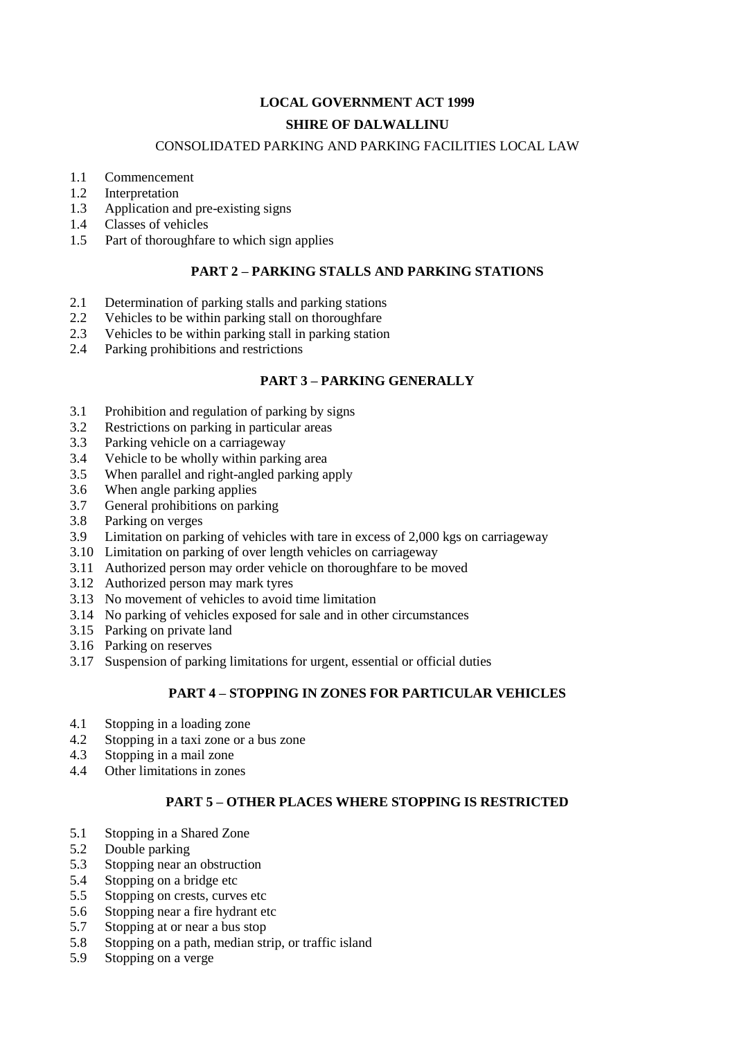# **LOCAL GOVERNMENT ACT 1999 SHIRE OF DALWALLINU**

#### CONSOLIDATED PARKING AND PARKING FACILITIES LOCAL LAW

- 1.1 Commencement
- 1.2 Interpretation
- 1.3 Application and pre-existing signs
- 1.4 Classes of vehicles
- 1.5 Part of thoroughfare to which sign applies

#### **PART 2 – PARKING STALLS AND PARKING STATIONS**

- 2.1 Determination of parking stalls and parking stations
- 2.2 Vehicles to be within parking stall on thoroughfare
- 2.3 Vehicles to be within parking stall in parking station
- 2.4 Parking prohibitions and restrictions

#### **PART 3 – PARKING GENERALLY**

- 3.1 Prohibition and regulation of parking by signs
- 3.2 Restrictions on parking in particular areas
- 3.3 Parking vehicle on a carriageway
- 3.4 Vehicle to be wholly within parking area
- 3.5 When parallel and right-angled parking apply
- 3.6 When angle parking applies
- 3.7 General prohibitions on parking
- 3.8 Parking on verges
- 3.9 Limitation on parking of vehicles with tare in excess of 2,000 kgs on carriageway
- 3.10 Limitation on parking of over length vehicles on carriageway
- 3.11 Authorized person may order vehicle on thoroughfare to be moved
- 3.12 Authorized person may mark tyres
- 3.13 No movement of vehicles to avoid time limitation
- 3.14 No parking of vehicles exposed for sale and in other circumstances
- 3.15 Parking on private land
- 3.16 Parking on reserves
- 3.17 Suspension of parking limitations for urgent, essential or official duties

#### **PART 4 – STOPPING IN ZONES FOR PARTICULAR VEHICLES**

- 4.1 Stopping in a loading zone
- 4.2 Stopping in a taxi zone or a bus zone
- 4.3 Stopping in a mail zone
- 4.4 Other limitations in zones

#### **PART 5 – OTHER PLACES WHERE STOPPING IS RESTRICTED**

- 5.1 Stopping in a Shared Zone
- 5.2 Double parking
- 5.3 Stopping near an obstruction
- 5.4 Stopping on a bridge etc
- 5.5 Stopping on crests, curves etc
- 5.6 Stopping near a fire hydrant etc
- 5.7 Stopping at or near a bus stop
- 5.8 Stopping on a path, median strip, or traffic island
- 5.9 Stopping on a verge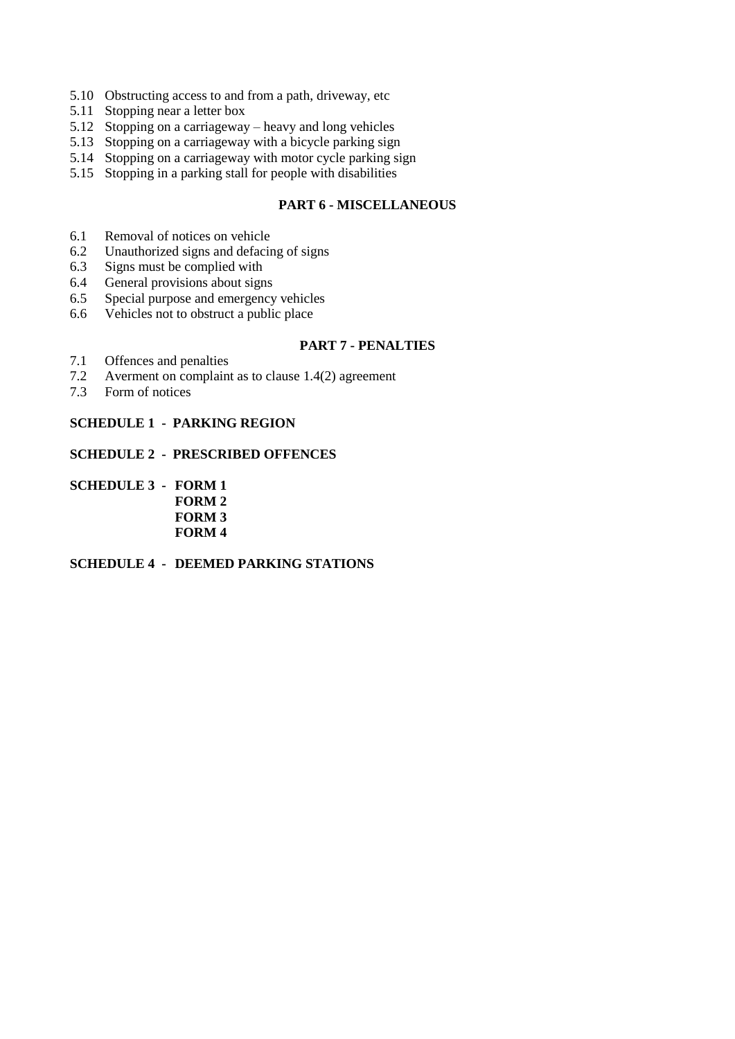- 5.10 Obstructing access to and from a path, driveway, etc
- 5.11 Stopping near a letter box
- 5.12 Stopping on a carriageway heavy and long vehicles
- 5.13 Stopping on a carriageway with a bicycle parking sign
- 5.14 Stopping on a carriageway with motor cycle parking sign
- 5.15 Stopping in a parking stall for people with disabilities

#### **PART 6 - MISCELLANEOUS**

- 6.1 Removal of notices on vehicle
- 6.2 Unauthorized signs and defacing of signs
- 6.3 Signs must be complied with
- 6.4 General provisions about signs
- 6.5 Special purpose and emergency vehicles
- 6.6 Vehicles not to obstruct a public place

#### **PART 7 - PENALTIES**

- 7.1 Offences and penalties
- 7.2 Averment on complaint as to clause 1.4(2) agreement
- 7.3 Form of notices

#### **SCHEDULE 1 - PARKING REGION**

## **SCHEDULE 2 - PRESCRIBED OFFENCES**

**SCHEDULE 3 - FORM 1 FORM 2 FORM 3 FORM 4**

## **SCHEDULE 4 - DEEMED PARKING STATIONS**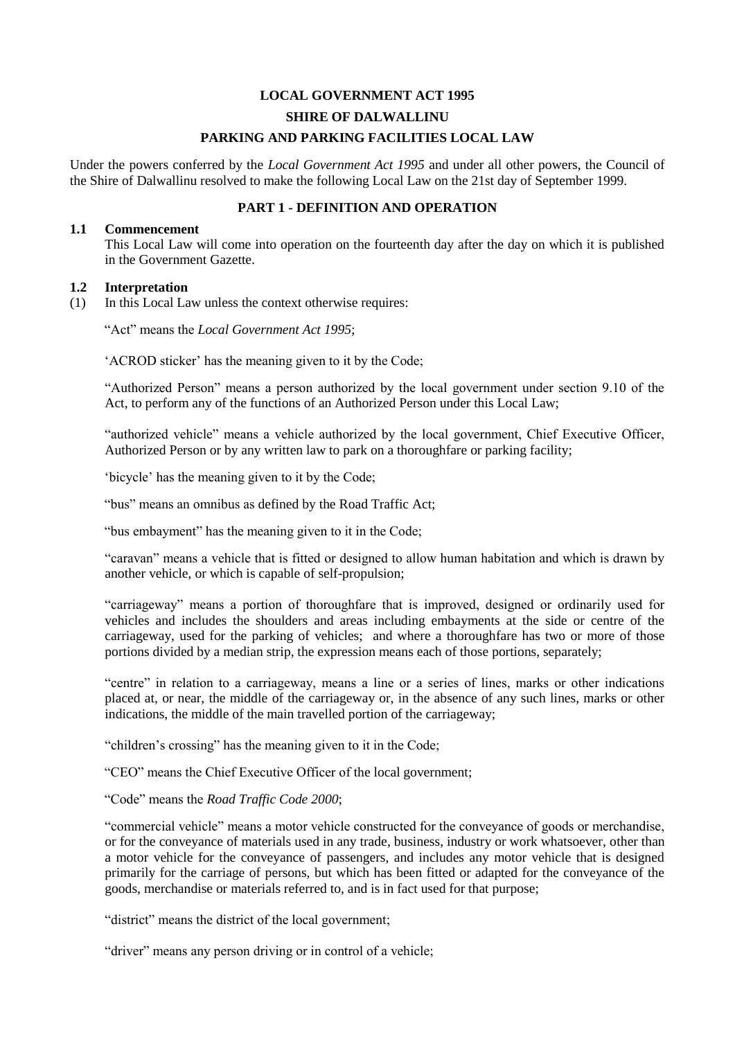# **LOCAL GOVERNMENT ACT 1995 SHIRE OF DALWALLINU PARKING AND PARKING FACILITIES LOCAL LAW**

Under the powers conferred by the *Local Government Act 1995* and under all other powers, the Council of the Shire of Dalwallinu resolved to make the following Local Law on the 21st day of September 1999.

## **PART 1 - DEFINITION AND OPERATION**

#### **1.1 Commencement**

This Local Law will come into operation on the fourteenth day after the day on which it is published in the Government Gazette.

#### **1.2 Interpretation**

(1) In this Local Law unless the context otherwise requires:

"Act" means the *Local Government Act 1995*;

'ACROD sticker' has the meaning given to it by the Code;

"Authorized Person" means a person authorized by the local government under section 9.10 of the Act, to perform any of the functions of an Authorized Person under this Local Law;

"authorized vehicle" means a vehicle authorized by the local government, Chief Executive Officer, Authorized Person or by any written law to park on a thoroughfare or parking facility;

'bicycle' has the meaning given to it by the Code;

"bus" means an omnibus as defined by the Road Traffic Act;

"bus embayment" has the meaning given to it in the Code;

"caravan" means a vehicle that is fitted or designed to allow human habitation and which is drawn by another vehicle, or which is capable of self-propulsion;

"carriageway" means a portion of thoroughfare that is improved, designed or ordinarily used for vehicles and includes the shoulders and areas including embayments at the side or centre of the carriageway, used for the parking of vehicles; and where a thoroughfare has two or more of those portions divided by a median strip, the expression means each of those portions, separately;

"centre" in relation to a carriageway, means a line or a series of lines, marks or other indications placed at, or near, the middle of the carriageway or, in the absence of any such lines, marks or other indications, the middle of the main travelled portion of the carriageway;

"children's crossing" has the meaning given to it in the Code;

"CEO" means the Chief Executive Officer of the local government;

"Code" means the *Road Traffic Code 2000*;

"commercial vehicle" means a motor vehicle constructed for the conveyance of goods or merchandise, or for the conveyance of materials used in any trade, business, industry or work whatsoever, other than a motor vehicle for the conveyance of passengers, and includes any motor vehicle that is designed primarily for the carriage of persons, but which has been fitted or adapted for the conveyance of the goods, merchandise or materials referred to, and is in fact used for that purpose;

"district" means the district of the local government;

"driver" means any person driving or in control of a vehicle;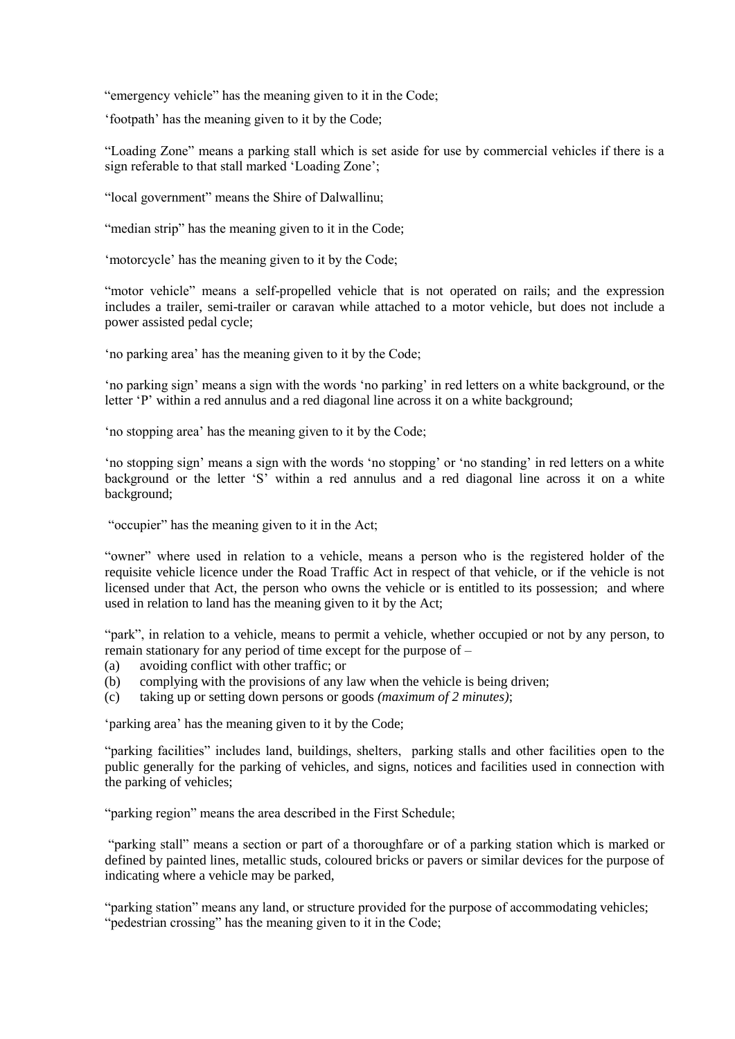"emergency vehicle" has the meaning given to it in the Code;

'footpath' has the meaning given to it by the Code;

"Loading Zone" means a parking stall which is set aside for use by commercial vehicles if there is a sign referable to that stall marked 'Loading Zone';

"local government" means the Shire of Dalwallinu;

"median strip" has the meaning given to it in the Code;

'motorcycle' has the meaning given to it by the Code;

"motor vehicle" means a self-propelled vehicle that is not operated on rails; and the expression includes a trailer, semi-trailer or caravan while attached to a motor vehicle, but does not include a power assisted pedal cycle;

'no parking area' has the meaning given to it by the Code;

'no parking sign' means a sign with the words 'no parking' in red letters on a white background, or the letter 'P' within a red annulus and a red diagonal line across it on a white background;

'no stopping area' has the meaning given to it by the Code;

'no stopping sign' means a sign with the words 'no stopping' or 'no standing' in red letters on a white background or the letter 'S' within a red annulus and a red diagonal line across it on a white background;

"occupier" has the meaning given to it in the Act;

"owner" where used in relation to a vehicle, means a person who is the registered holder of the requisite vehicle licence under the Road Traffic Act in respect of that vehicle, or if the vehicle is not licensed under that Act, the person who owns the vehicle or is entitled to its possession; and where used in relation to land has the meaning given to it by the Act;

"park", in relation to a vehicle, means to permit a vehicle, whether occupied or not by any person, to remain stationary for any period of time except for the purpose of –

- (a) avoiding conflict with other traffic; or
- (b) complying with the provisions of any law when the vehicle is being driven;
- (c) taking up or setting down persons or goods *(maximum of 2 minutes)*;

'parking area' has the meaning given to it by the Code;

"parking facilities" includes land, buildings, shelters, parking stalls and other facilities open to the public generally for the parking of vehicles, and signs, notices and facilities used in connection with the parking of vehicles;

"parking region" means the area described in the First Schedule;

"parking stall" means a section or part of a thoroughfare or of a parking station which is marked or defined by painted lines, metallic studs, coloured bricks or pavers or similar devices for the purpose of indicating where a vehicle may be parked,

"parking station" means any land, or structure provided for the purpose of accommodating vehicles; "pedestrian crossing" has the meaning given to it in the Code;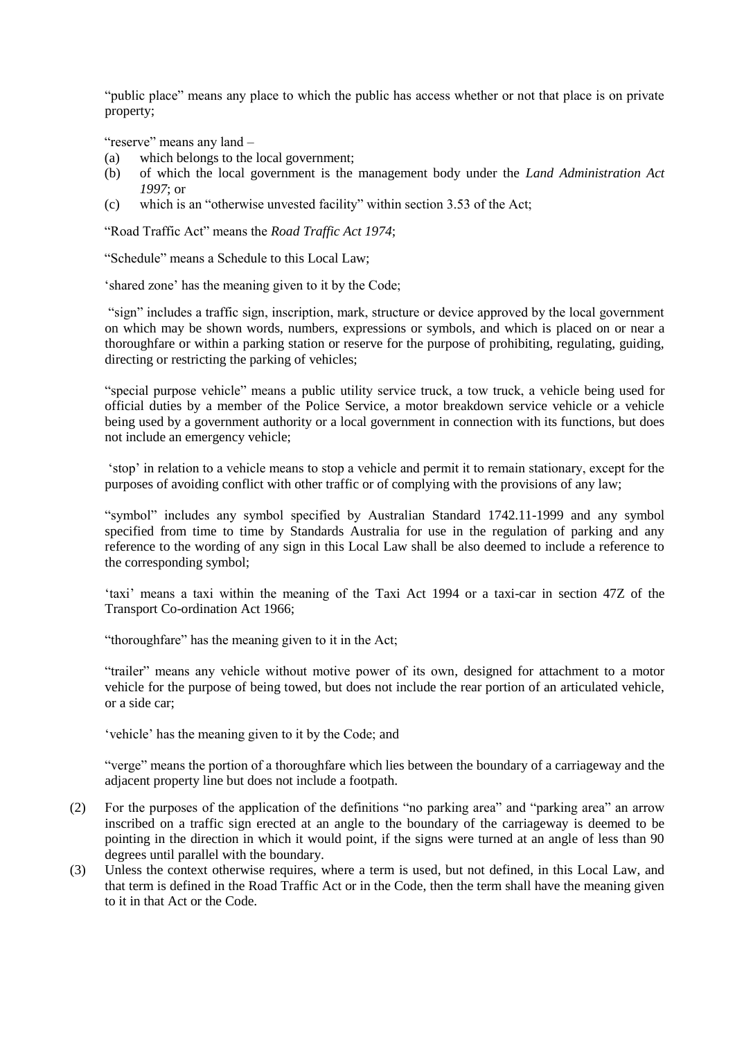"public place" means any place to which the public has access whether or not that place is on private property;

"reserve" means any land –

- (a) which belongs to the local government;
- (b) of which the local government is the management body under the *Land Administration Act 1997*; or
- (c) which is an "otherwise unvested facility" within section 3.53 of the Act;

"Road Traffic Act" means the *Road Traffic Act 1974*;

"Schedule" means a Schedule to this Local Law;

'shared zone' has the meaning given to it by the Code;

"sign" includes a traffic sign, inscription, mark, structure or device approved by the local government on which may be shown words, numbers, expressions or symbols, and which is placed on or near a thoroughfare or within a parking station or reserve for the purpose of prohibiting, regulating, guiding, directing or restricting the parking of vehicles;

"special purpose vehicle" means a public utility service truck, a tow truck, a vehicle being used for official duties by a member of the Police Service, a motor breakdown service vehicle or a vehicle being used by a government authority or a local government in connection with its functions, but does not include an emergency vehicle;

'stop' in relation to a vehicle means to stop a vehicle and permit it to remain stationary, except for the purposes of avoiding conflict with other traffic or of complying with the provisions of any law;

"symbol" includes any symbol specified by Australian Standard 1742.11-1999 and any symbol specified from time to time by Standards Australia for use in the regulation of parking and any reference to the wording of any sign in this Local Law shall be also deemed to include a reference to the corresponding symbol;

'taxi' means a taxi within the meaning of the Taxi Act 1994 or a taxi-car in section 47Z of the Transport Co-ordination Act 1966;

"thoroughfare" has the meaning given to it in the Act;

"trailer" means any vehicle without motive power of its own, designed for attachment to a motor vehicle for the purpose of being towed, but does not include the rear portion of an articulated vehicle, or a side car;

'vehicle' has the meaning given to it by the Code; and

"verge" means the portion of a thoroughfare which lies between the boundary of a carriageway and the adjacent property line but does not include a footpath.

- (2) For the purposes of the application of the definitions "no parking area" and "parking area" an arrow inscribed on a traffic sign erected at an angle to the boundary of the carriageway is deemed to be pointing in the direction in which it would point, if the signs were turned at an angle of less than 90 degrees until parallel with the boundary.
- (3) Unless the context otherwise requires, where a term is used, but not defined, in this Local Law, and that term is defined in the Road Traffic Act or in the Code, then the term shall have the meaning given to it in that Act or the Code.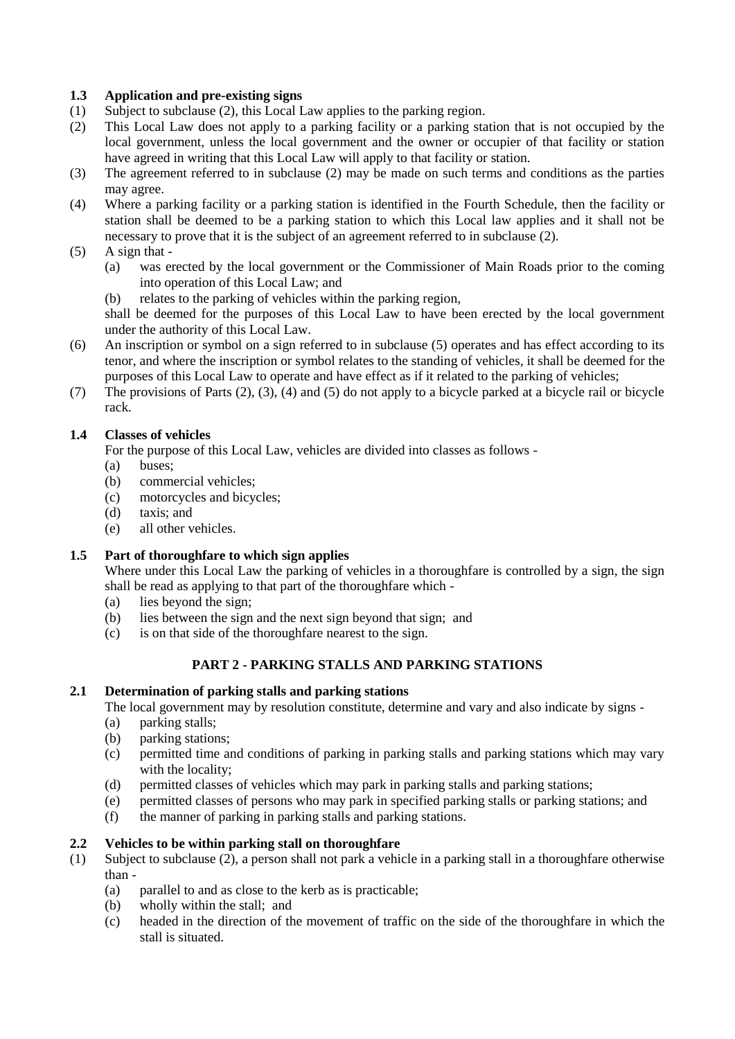## **1.3 Application and pre-existing signs**

- (1) Subject to subclause (2), this Local Law applies to the parking region.
- (2) This Local Law does not apply to a parking facility or a parking station that is not occupied by the local government, unless the local government and the owner or occupier of that facility or station have agreed in writing that this Local Law will apply to that facility or station.
- (3) The agreement referred to in subclause (2) may be made on such terms and conditions as the parties may agree.
- (4) Where a parking facility or a parking station is identified in the Fourth Schedule, then the facility or station shall be deemed to be a parking station to which this Local law applies and it shall not be necessary to prove that it is the subject of an agreement referred to in subclause (2).
- $(5)$  A sign that -
	- (a) was erected by the local government or the Commissioner of Main Roads prior to the coming into operation of this Local Law; and
	- (b) relates to the parking of vehicles within the parking region,

shall be deemed for the purposes of this Local Law to have been erected by the local government under the authority of this Local Law.

- (6) An inscription or symbol on a sign referred to in subclause (5) operates and has effect according to its tenor, and where the inscription or symbol relates to the standing of vehicles, it shall be deemed for the purposes of this Local Law to operate and have effect as if it related to the parking of vehicles;
- (7) The provisions of Parts (2), (3), (4) and (5) do not apply to a bicycle parked at a bicycle rail or bicycle rack.

## **1.4 Classes of vehicles**

For the purpose of this Local Law, vehicles are divided into classes as follows -

- (a) buses;
- (b) commercial vehicles;
- (c) motorcycles and bicycles;
- (d) taxis; and
- (e) all other vehicles.

## **1.5 Part of thoroughfare to which sign applies**

Where under this Local Law the parking of vehicles in a thoroughfare is controlled by a sign, the sign shall be read as applying to that part of the thoroughfare which -

- (a) lies beyond the sign;
- (b) lies between the sign and the next sign beyond that sign; and
- (c) is on that side of the thoroughfare nearest to the sign.

## **PART 2 - PARKING STALLS AND PARKING STATIONS**

#### **2.1 Determination of parking stalls and parking stations**

The local government may by resolution constitute, determine and vary and also indicate by signs -

- (a) parking stalls;
- (b) parking stations;
- (c) permitted time and conditions of parking in parking stalls and parking stations which may vary with the locality;
- (d) permitted classes of vehicles which may park in parking stalls and parking stations;
- (e) permitted classes of persons who may park in specified parking stalls or parking stations; and
- (f) the manner of parking in parking stalls and parking stations.

#### **2.2 Vehicles to be within parking stall on thoroughfare**

- (1) Subject to subclause (2), a person shall not park a vehicle in a parking stall in a thoroughfare otherwise than -
	- (a) parallel to and as close to the kerb as is practicable;
	- (b) wholly within the stall; and
	- (c) headed in the direction of the movement of traffic on the side of the thoroughfare in which the stall is situated.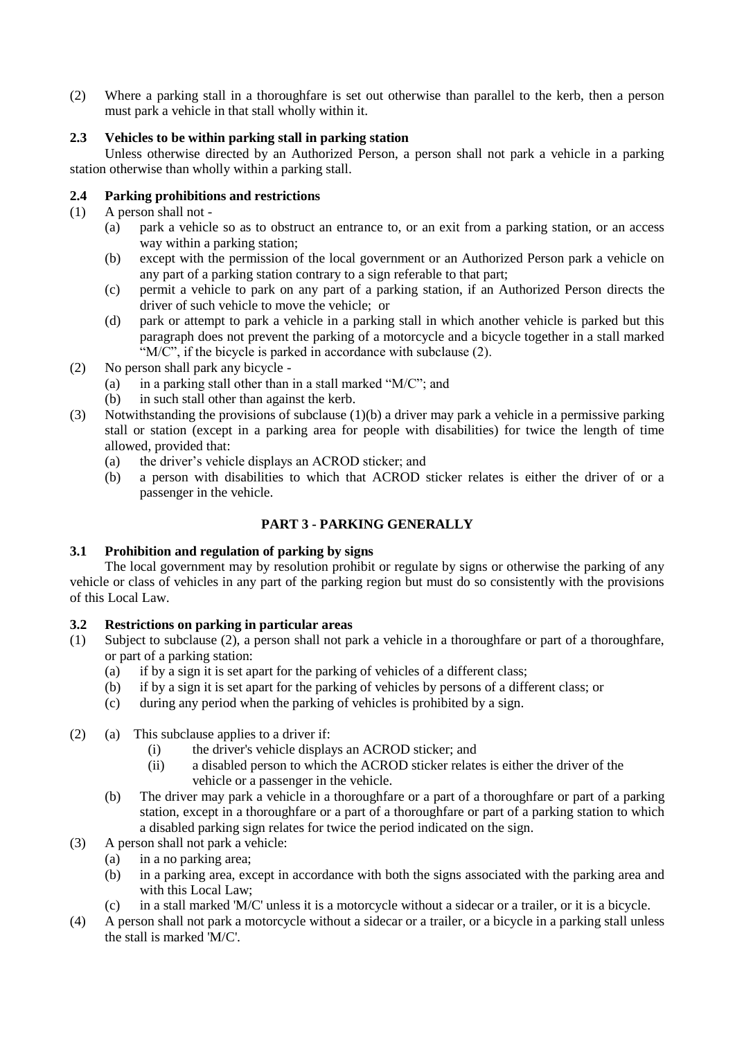(2) Where a parking stall in a thoroughfare is set out otherwise than parallel to the kerb, then a person must park a vehicle in that stall wholly within it.

## **2.3 Vehicles to be within parking stall in parking station**

Unless otherwise directed by an Authorized Person, a person shall not park a vehicle in a parking station otherwise than wholly within a parking stall.

#### **2.4 Parking prohibitions and restrictions**

- (1) A person shall not
	- (a) park a vehicle so as to obstruct an entrance to, or an exit from a parking station, or an access way within a parking station;
	- (b) except with the permission of the local government or an Authorized Person park a vehicle on any part of a parking station contrary to a sign referable to that part;
	- (c) permit a vehicle to park on any part of a parking station, if an Authorized Person directs the driver of such vehicle to move the vehicle; or
	- (d) park or attempt to park a vehicle in a parking stall in which another vehicle is parked but this paragraph does not prevent the parking of a motorcycle and a bicycle together in a stall marked  $\cdot W/C$ ", if the bicycle is parked in accordance with subclause (2).
- (2) No person shall park any bicycle
	- (a) in a parking stall other than in a stall marked "M/C"; and
	- (b) in such stall other than against the kerb.
- (3) Notwithstanding the provisions of subclause (1)(b) a driver may park a vehicle in a permissive parking stall or station (except in a parking area for people with disabilities) for twice the length of time allowed, provided that:
	- (a) the driver's vehicle displays an ACROD sticker; and
	- (b) a person with disabilities to which that ACROD sticker relates is either the driver of or a passenger in the vehicle.

## **PART 3 - PARKING GENERALLY**

## **3.1 Prohibition and regulation of parking by signs**

The local government may by resolution prohibit or regulate by signs or otherwise the parking of any vehicle or class of vehicles in any part of the parking region but must do so consistently with the provisions of this Local Law.

#### **3.2 Restrictions on parking in particular areas**

- (1) Subject to subclause (2), a person shall not park a vehicle in a thoroughfare or part of a thoroughfare, or part of a parking station:
	- (a) if by a sign it is set apart for the parking of vehicles of a different class;
	- (b) if by a sign it is set apart for the parking of vehicles by persons of a different class; or
	- (c) during any period when the parking of vehicles is prohibited by a sign.
- (2) (a) This subclause applies to a driver if:
	- (i) the driver's vehicle displays an ACROD sticker; and
	- (ii) a disabled person to which the ACROD sticker relates is either the driver of the vehicle or a passenger in the vehicle.
	- (b) The driver may park a vehicle in a thoroughfare or a part of a thoroughfare or part of a parking station, except in a thoroughfare or a part of a thoroughfare or part of a parking station to which a disabled parking sign relates for twice the period indicated on the sign.
- (3) A person shall not park a vehicle:
	- (a) in a no parking area;
		- (b) in a parking area, except in accordance with both the signs associated with the parking area and with this Local Law;
		- (c) in a stall marked 'M/C' unless it is a motorcycle without a sidecar or a trailer, or it is a bicycle.
- (4) A person shall not park a motorcycle without a sidecar or a trailer, or a bicycle in a parking stall unless the stall is marked 'M/C'.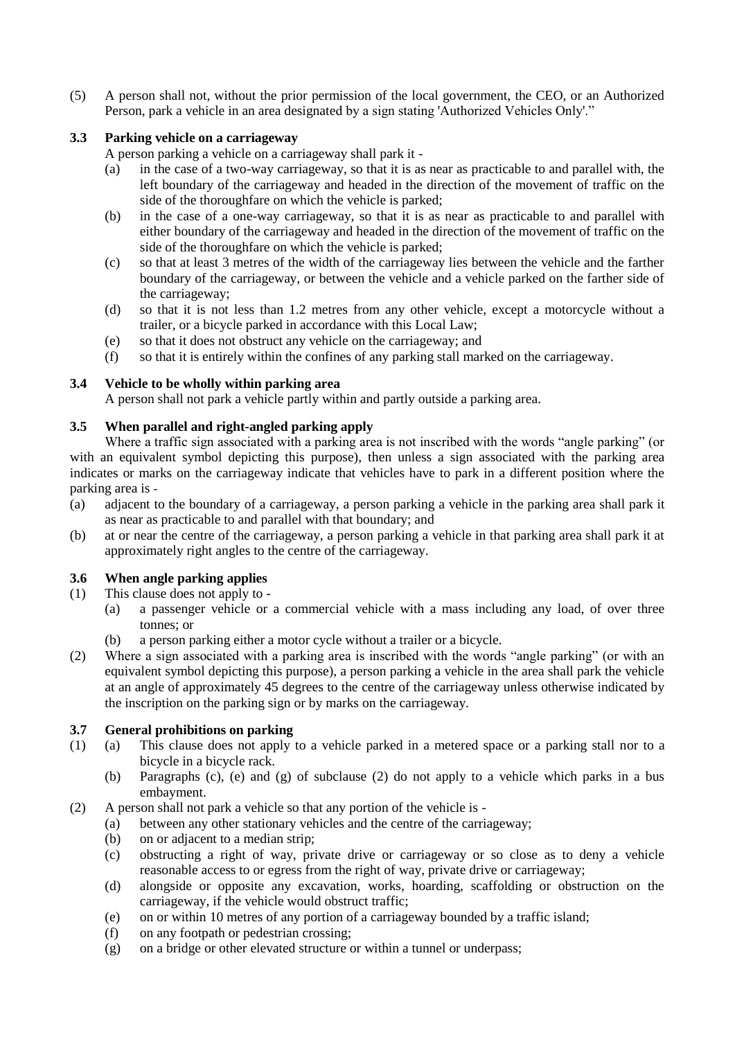(5) A person shall not, without the prior permission of the local government, the CEO, or an Authorized Person, park a vehicle in an area designated by a sign stating 'Authorized Vehicles Only'."

## **3.3 Parking vehicle on a carriageway**

A person parking a vehicle on a carriageway shall park it -

- (a) in the case of a two-way carriageway, so that it is as near as practicable to and parallel with, the left boundary of the carriageway and headed in the direction of the movement of traffic on the side of the thoroughfare on which the vehicle is parked;
- (b) in the case of a one-way carriageway, so that it is as near as practicable to and parallel with either boundary of the carriageway and headed in the direction of the movement of traffic on the side of the thoroughfare on which the vehicle is parked;
- (c) so that at least 3 metres of the width of the carriageway lies between the vehicle and the farther boundary of the carriageway, or between the vehicle and a vehicle parked on the farther side of the carriageway;
- (d) so that it is not less than 1.2 metres from any other vehicle, except a motorcycle without a trailer, or a bicycle parked in accordance with this Local Law;
- (e) so that it does not obstruct any vehicle on the carriageway; and
- (f) so that it is entirely within the confines of any parking stall marked on the carriageway.

#### **3.4 Vehicle to be wholly within parking area**

A person shall not park a vehicle partly within and partly outside a parking area.

## **3.5 When parallel and right-angled parking apply**

Where a traffic sign associated with a parking area is not inscribed with the words "angle parking" (or with an equivalent symbol depicting this purpose), then unless a sign associated with the parking area indicates or marks on the carriageway indicate that vehicles have to park in a different position where the parking area is -

- (a) adjacent to the boundary of a carriageway, a person parking a vehicle in the parking area shall park it as near as practicable to and parallel with that boundary; and
- (b) at or near the centre of the carriageway, a person parking a vehicle in that parking area shall park it at approximately right angles to the centre of the carriageway.

#### **3.6 When angle parking applies**

- (1) This clause does not apply to
	- (a) a passenger vehicle or a commercial vehicle with a mass including any load, of over three tonnes; or
	- (b) a person parking either a motor cycle without a trailer or a bicycle.
- (2) Where a sign associated with a parking area is inscribed with the words "angle parking" (or with an equivalent symbol depicting this purpose), a person parking a vehicle in the area shall park the vehicle at an angle of approximately 45 degrees to the centre of the carriageway unless otherwise indicated by the inscription on the parking sign or by marks on the carriageway.

#### **3.7 General prohibitions on parking**

- (1) (a) This clause does not apply to a vehicle parked in a metered space or a parking stall nor to a bicycle in a bicycle rack.
	- (b) Paragraphs (c), (e) and (g) of subclause (2) do not apply to a vehicle which parks in a bus embayment.
- (2) A person shall not park a vehicle so that any portion of the vehicle is
	- (a) between any other stationary vehicles and the centre of the carriageway;
	- (b) on or adjacent to a median strip;
	- (c) obstructing a right of way, private drive or carriageway or so close as to deny a vehicle reasonable access to or egress from the right of way, private drive or carriageway;
	- (d) alongside or opposite any excavation, works, hoarding, scaffolding or obstruction on the carriageway, if the vehicle would obstruct traffic;
	- (e) on or within 10 metres of any portion of a carriageway bounded by a traffic island;
	- (f) on any footpath or pedestrian crossing;
	- (g) on a bridge or other elevated structure or within a tunnel or underpass;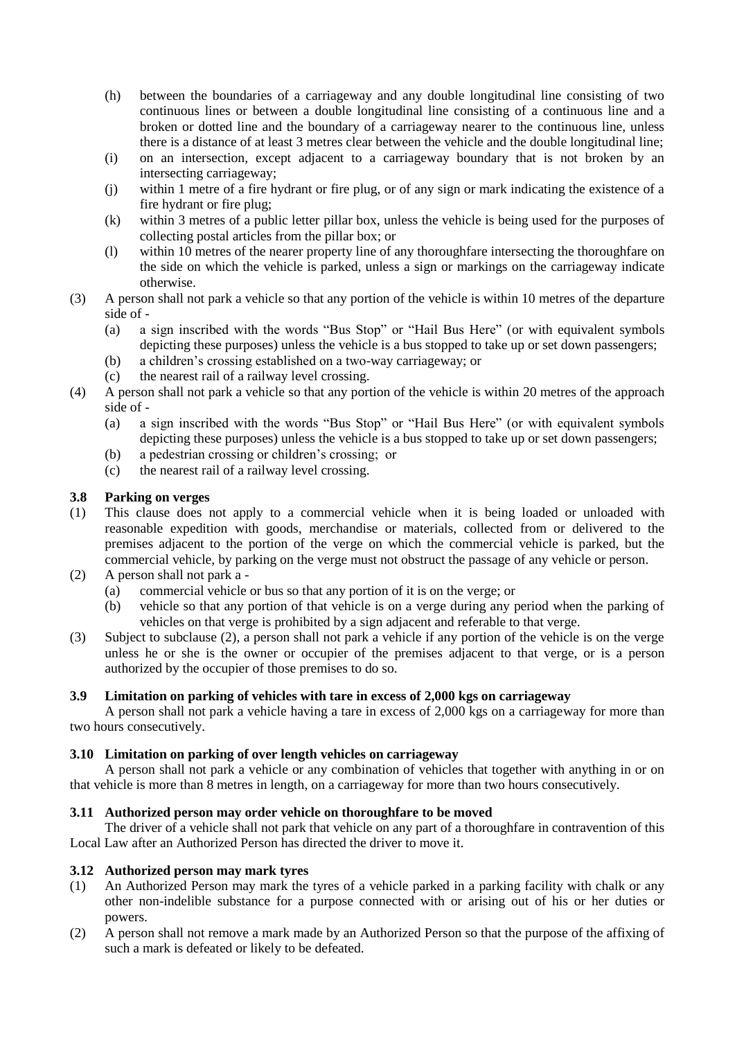- (h) between the boundaries of a carriageway and any double longitudinal line consisting of two continuous lines or between a double longitudinal line consisting of a continuous line and a broken or dotted line and the boundary of a carriageway nearer to the continuous line, unless there is a distance of at least 3 metres clear between the vehicle and the double longitudinal line;
- (i) on an intersection, except adjacent to a carriageway boundary that is not broken by an intersecting carriageway;
- (j) within 1 metre of a fire hydrant or fire plug, or of any sign or mark indicating the existence of a fire hydrant or fire plug;
- (k) within 3 metres of a public letter pillar box, unless the vehicle is being used for the purposes of collecting postal articles from the pillar box; or
- (l) within 10 metres of the nearer property line of any thoroughfare intersecting the thoroughfare on the side on which the vehicle is parked, unless a sign or markings on the carriageway indicate otherwise.
- (3) A person shall not park a vehicle so that any portion of the vehicle is within 10 metres of the departure side of -
	- (a) a sign inscribed with the words "Bus Stop" or "Hail Bus Here" (or with equivalent symbols depicting these purposes) unless the vehicle is a bus stopped to take up or set down passengers;
	- (b) a children's crossing established on a two-way carriageway; or
	- (c) the nearest rail of a railway level crossing.
- (4) A person shall not park a vehicle so that any portion of the vehicle is within 20 metres of the approach side of -
	- (a) a sign inscribed with the words "Bus Stop" or "Hail Bus Here" (or with equivalent symbols depicting these purposes) unless the vehicle is a bus stopped to take up or set down passengers;
	- (b) a pedestrian crossing or children's crossing; or
	- (c) the nearest rail of a railway level crossing.

## **3.8 Parking on verges**

- (1) This clause does not apply to a commercial vehicle when it is being loaded or unloaded with reasonable expedition with goods, merchandise or materials, collected from or delivered to the premises adjacent to the portion of the verge on which the commercial vehicle is parked, but the commercial vehicle, by parking on the verge must not obstruct the passage of any vehicle or person.
- (2) A person shall not park a
	- (a) commercial vehicle or bus so that any portion of it is on the verge; or
	- (b) vehicle so that any portion of that vehicle is on a verge during any period when the parking of vehicles on that verge is prohibited by a sign adjacent and referable to that verge.
- (3) Subject to subclause (2), a person shall not park a vehicle if any portion of the vehicle is on the verge unless he or she is the owner or occupier of the premises adjacent to that verge, or is a person authorized by the occupier of those premises to do so.

#### **3.9 Limitation on parking of vehicles with tare in excess of 2,000 kgs on carriageway**

A person shall not park a vehicle having a tare in excess of 2,000 kgs on a carriageway for more than two hours consecutively.

#### **3.10 Limitation on parking of over length vehicles on carriageway**

A person shall not park a vehicle or any combination of vehicles that together with anything in or on that vehicle is more than 8 metres in length, on a carriageway for more than two hours consecutively.

#### **3.11 Authorized person may order vehicle on thoroughfare to be moved**

The driver of a vehicle shall not park that vehicle on any part of a thoroughfare in contravention of this Local Law after an Authorized Person has directed the driver to move it.

#### **3.12 Authorized person may mark tyres**

- (1) An Authorized Person may mark the tyres of a vehicle parked in a parking facility with chalk or any other non-indelible substance for a purpose connected with or arising out of his or her duties or powers.
- (2) A person shall not remove a mark made by an Authorized Person so that the purpose of the affixing of such a mark is defeated or likely to be defeated.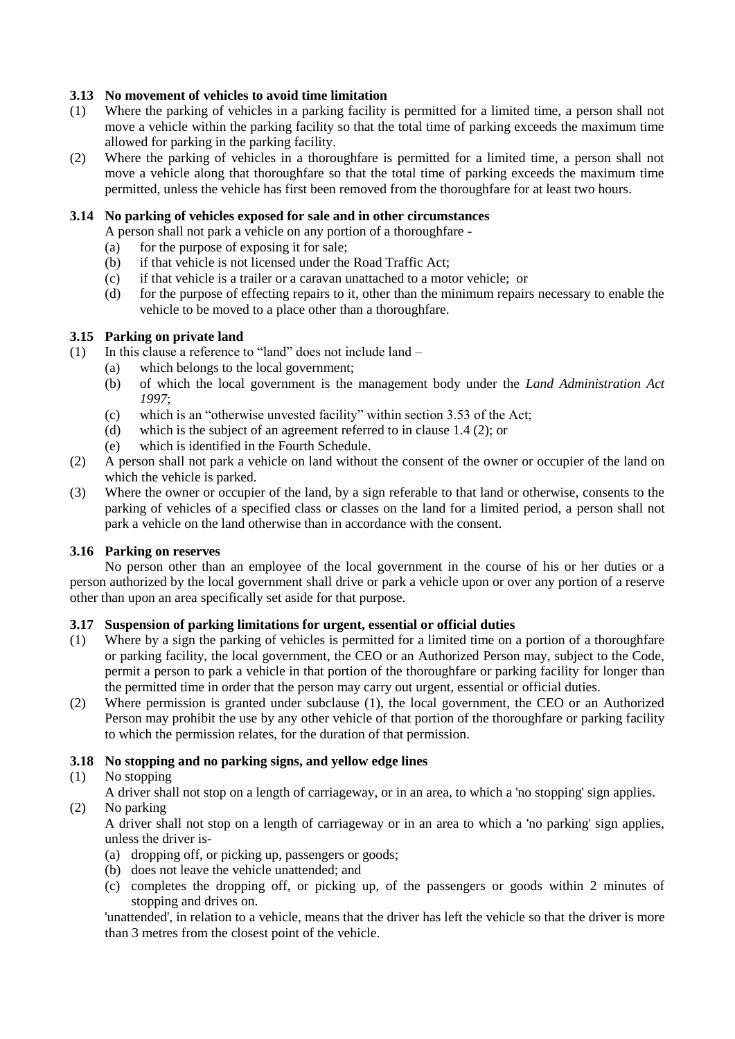## **3.13 No movement of vehicles to avoid time limitation**

- (1) Where the parking of vehicles in a parking facility is permitted for a limited time, a person shall not move a vehicle within the parking facility so that the total time of parking exceeds the maximum time allowed for parking in the parking facility.
- (2) Where the parking of vehicles in a thoroughfare is permitted for a limited time, a person shall not move a vehicle along that thoroughfare so that the total time of parking exceeds the maximum time permitted, unless the vehicle has first been removed from the thoroughfare for at least two hours.

#### **3.14 No parking of vehicles exposed for sale and in other circumstances**

- A person shall not park a vehicle on any portion of a thoroughfare -
- (a) for the purpose of exposing it for sale;
- (b) if that vehicle is not licensed under the Road Traffic Act;
- (c) if that vehicle is a trailer or a caravan unattached to a motor vehicle; or
- (d) for the purpose of effecting repairs to it, other than the minimum repairs necessary to enable the vehicle to be moved to a place other than a thoroughfare.

#### **3.15 Parking on private land**

- (1) In this clause a reference to "land" does not include land
	- (a) which belongs to the local government;
	- (b) of which the local government is the management body under the *Land Administration Act 1997*;
	- (c) which is an "otherwise unvested facility" within section 3.53 of the Act;
	- (d) which is the subject of an agreement referred to in clause 1.4 (2); or
	- (e) which is identified in the Fourth Schedule.
- (2) A person shall not park a vehicle on land without the consent of the owner or occupier of the land on which the vehicle is parked.
- (3) Where the owner or occupier of the land, by a sign referable to that land or otherwise, consents to the parking of vehicles of a specified class or classes on the land for a limited period, a person shall not park a vehicle on the land otherwise than in accordance with the consent.

#### **3.16 Parking on reserves**

No person other than an employee of the local government in the course of his or her duties or a person authorized by the local government shall drive or park a vehicle upon or over any portion of a reserve other than upon an area specifically set aside for that purpose.

#### **3.17 Suspension of parking limitations for urgent, essential or official duties**

- (1) Where by a sign the parking of vehicles is permitted for a limited time on a portion of a thoroughfare or parking facility, the local government, the CEO or an Authorized Person may, subject to the Code, permit a person to park a vehicle in that portion of the thoroughfare or parking facility for longer than the permitted time in order that the person may carry out urgent, essential or official duties.
- (2) Where permission is granted under subclause (1), the local government, the CEO or an Authorized Person may prohibit the use by any other vehicle of that portion of the thoroughfare or parking facility to which the permission relates, for the duration of that permission.

#### **3.18 No stopping and no parking signs, and yellow edge lines**

## (1) No stopping

A driver shall not stop on a length of carriageway, or in an area, to which a 'no stopping' sign applies.

(2) No parking

A driver shall not stop on a length of carriageway or in an area to which a 'no parking' sign applies, unless the driver is-

- (a) dropping off, or picking up, passengers or goods;
- (b) does not leave the vehicle unattended; and
- (c) completes the dropping off, or picking up, of the passengers or goods within 2 minutes of stopping and drives on.

'unattended', in relation to a vehicle, means that the driver has left the vehicle so that the driver is more than 3 metres from the closest point of the vehicle.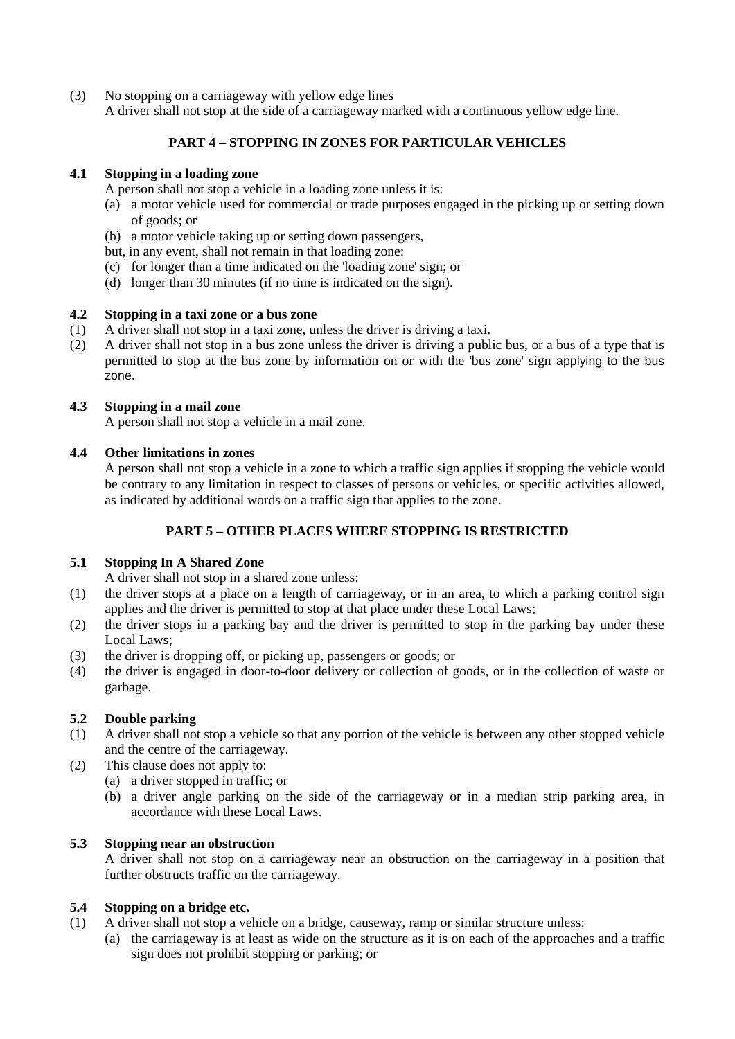(3) No stopping on a carriageway with yellow edge lines

A driver shall not stop at the side of a carriageway marked with a continuous yellow edge line.

# **PART 4 – STOPPING IN ZONES FOR PARTICULAR VEHICLES**

## **4.1 Stopping in a loading zone**

- A person shall not stop a vehicle in a loading zone unless it is:
- (a) a motor vehicle used for commercial or trade purposes engaged in the picking up or setting down of goods; or
- (b) a motor vehicle taking up or setting down passengers,
- but, in any event, shall not remain in that loading zone:
- (c) for longer than a time indicated on the 'loading zone' sign; or
- (d) longer than 30 minutes (if no time is indicated on the sign).

#### **4.2 Stopping in a taxi zone or a bus zone**

- (1) A driver shall not stop in a taxi zone, unless the driver is driving a taxi.
- (2) A driver shall not stop in a bus zone unless the driver is driving a public bus, or a bus of a type that is permitted to stop at the bus zone by information on or with the 'bus zone' sign applying to the bus zone.

#### **4.3 Stopping in a mail zone**

A person shall not stop a vehicle in a mail zone.

#### **4.4 Other limitations in zones**

A person shall not stop a vehicle in a zone to which a traffic sign applies if stopping the vehicle would be contrary to any limitation in respect to classes of persons or vehicles, or specific activities allowed, as indicated by additional words on a traffic sign that applies to the zone.

## **PART 5 – OTHER PLACES WHERE STOPPING IS RESTRICTED**

## **5.1 Stopping In A Shared Zone**

- A driver shall not stop in a shared zone unless:
- (1) the driver stops at a place on a length of carriageway, or in an area, to which a parking control sign applies and the driver is permitted to stop at that place under these Local Laws;
- (2) the driver stops in a parking bay and the driver is permitted to stop in the parking bay under these Local Laws;
- (3) the driver is dropping off, or picking up, passengers or goods; or
- (4) the driver is engaged in door-to-door delivery or collection of goods, or in the collection of waste or garbage.

## **5.2 Double parking**

- (1) A driver shall not stop a vehicle so that any portion of the vehicle is between any other stopped vehicle and the centre of the carriageway.
- (2) This clause does not apply to:
	- (a) a driver stopped in traffic; or
	- (b) a driver angle parking on the side of the carriageway or in a median strip parking area, in accordance with these Local Laws.

## **5.3 Stopping near an obstruction**

A driver shall not stop on a carriageway near an obstruction on the carriageway in a position that further obstructs traffic on the carriageway.

## **5.4 Stopping on a bridge etc.**

- (1) A driver shall not stop a vehicle on a bridge, causeway, ramp or similar structure unless:
	- (a) the carriageway is at least as wide on the structure as it is on each of the approaches and a traffic sign does not prohibit stopping or parking; or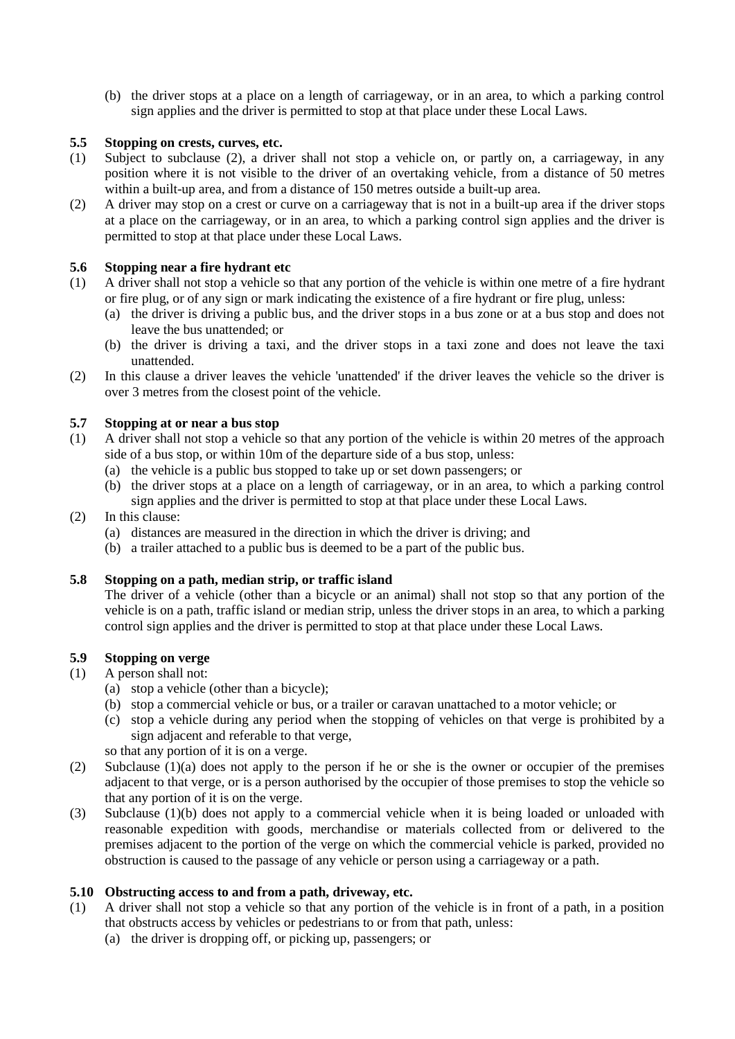(b) the driver stops at a place on a length of carriageway, or in an area, to which a parking control sign applies and the driver is permitted to stop at that place under these Local Laws.

## **5.5 Stopping on crests, curves, etc.**

- (1) Subject to subclause (2), a driver shall not stop a vehicle on, or partly on, a carriageway, in any position where it is not visible to the driver of an overtaking vehicle, from a distance of 50 metres within a built-up area, and from a distance of 150 metres outside a built-up area.
- (2) A driver may stop on a crest or curve on a carriageway that is not in a built-up area if the driver stops at a place on the carriageway, or in an area, to which a parking control sign applies and the driver is permitted to stop at that place under these Local Laws.

#### **5.6 Stopping near a fire hydrant etc**

- (1) A driver shall not stop a vehicle so that any portion of the vehicle is within one metre of a fire hydrant or fire plug, or of any sign or mark indicating the existence of a fire hydrant or fire plug, unless:
	- (a) the driver is driving a public bus, and the driver stops in a bus zone or at a bus stop and does not leave the bus unattended; or
	- (b) the driver is driving a taxi, and the driver stops in a taxi zone and does not leave the taxi unattended.
- (2) In this clause a driver leaves the vehicle 'unattended' if the driver leaves the vehicle so the driver is over 3 metres from the closest point of the vehicle.

#### **5.7 Stopping at or near a bus stop**

- (1) A driver shall not stop a vehicle so that any portion of the vehicle is within 20 metres of the approach side of a bus stop, or within 10m of the departure side of a bus stop, unless:
	- (a) the vehicle is a public bus stopped to take up or set down passengers; or
	- (b) the driver stops at a place on a length of carriageway, or in an area, to which a parking control sign applies and the driver is permitted to stop at that place under these Local Laws.

#### (2) In this clause:

- (a) distances are measured in the direction in which the driver is driving; and
- (b) a trailer attached to a public bus is deemed to be a part of the public bus.

#### **5.8 Stopping on a path, median strip, or traffic island**

The driver of a vehicle (other than a bicycle or an animal) shall not stop so that any portion of the vehicle is on a path, traffic island or median strip, unless the driver stops in an area, to which a parking control sign applies and the driver is permitted to stop at that place under these Local Laws.

# **5.9 Stopping on verge**

- (1) A person shall not:
	- (a) stop a vehicle (other than a bicycle);
	- (b) stop a commercial vehicle or bus, or a trailer or caravan unattached to a motor vehicle; or
	- (c) stop a vehicle during any period when the stopping of vehicles on that verge is prohibited by a sign adjacent and referable to that verge,

so that any portion of it is on a verge.

- (2) Subclause (1)(a) does not apply to the person if he or she is the owner or occupier of the premises adjacent to that verge, or is a person authorised by the occupier of those premises to stop the vehicle so that any portion of it is on the verge.
- (3) Subclause (1)(b) does not apply to a commercial vehicle when it is being loaded or unloaded with reasonable expedition with goods, merchandise or materials collected from or delivered to the premises adjacent to the portion of the verge on which the commercial vehicle is parked, provided no obstruction is caused to the passage of any vehicle or person using a carriageway or a path.

#### **5.10 Obstructing access to and from a path, driveway, etc.**

- (1) A driver shall not stop a vehicle so that any portion of the vehicle is in front of a path, in a position that obstructs access by vehicles or pedestrians to or from that path, unless:
	- (a) the driver is dropping off, or picking up, passengers; or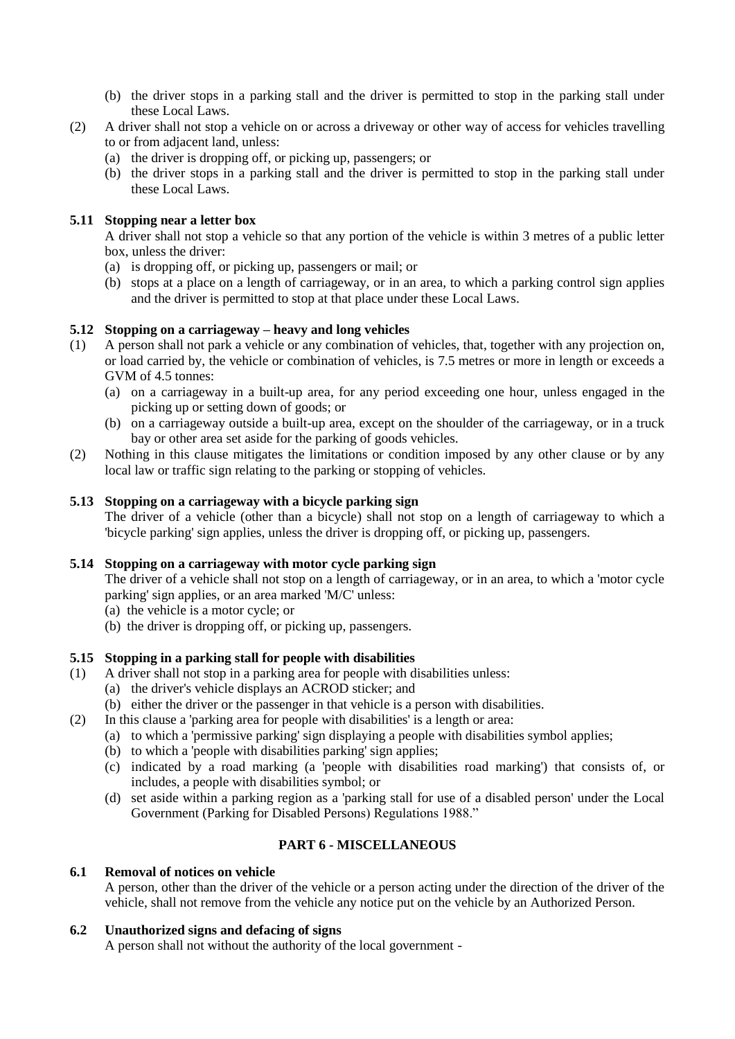- (b) the driver stops in a parking stall and the driver is permitted to stop in the parking stall under these Local Laws.
- (2) A driver shall not stop a vehicle on or across a driveway or other way of access for vehicles travelling to or from adjacent land, unless:
	- (a) the driver is dropping off, or picking up, passengers; or
	- (b) the driver stops in a parking stall and the driver is permitted to stop in the parking stall under these Local Laws.

## **5.11 Stopping near a letter box**

A driver shall not stop a vehicle so that any portion of the vehicle is within 3 metres of a public letter box, unless the driver:

- (a) is dropping off, or picking up, passengers or mail; or
- (b) stops at a place on a length of carriageway, or in an area, to which a parking control sign applies and the driver is permitted to stop at that place under these Local Laws.

#### **5.12 Stopping on a carriageway – heavy and long vehicles**

- (1) A person shall not park a vehicle or any combination of vehicles, that, together with any projection on, or load carried by, the vehicle or combination of vehicles, is 7.5 metres or more in length or exceeds a GVM of 4.5 tonnes:
	- (a) on a carriageway in a built-up area, for any period exceeding one hour, unless engaged in the picking up or setting down of goods; or
	- (b) on a carriageway outside a built-up area, except on the shoulder of the carriageway, or in a truck bay or other area set aside for the parking of goods vehicles.
- (2) Nothing in this clause mitigates the limitations or condition imposed by any other clause or by any local law or traffic sign relating to the parking or stopping of vehicles.

#### **5.13 Stopping on a carriageway with a bicycle parking sign**

The driver of a vehicle (other than a bicycle) shall not stop on a length of carriageway to which a 'bicycle parking' sign applies, unless the driver is dropping off, or picking up, passengers.

#### **5.14 Stopping on a carriageway with motor cycle parking sign**

The driver of a vehicle shall not stop on a length of carriageway, or in an area, to which a 'motor cycle parking' sign applies, or an area marked 'M/C' unless:

- (a) the vehicle is a motor cycle; or
- (b) the driver is dropping off, or picking up, passengers.

## **5.15 Stopping in a parking stall for people with disabilities**

- (1) A driver shall not stop in a parking area for people with disabilities unless:
	- (a) the driver's vehicle displays an ACROD sticker; and
	- (b) either the driver or the passenger in that vehicle is a person with disabilities.
- (2) In this clause a 'parking area for people with disabilities' is a length or area:
	- (a) to which a 'permissive parking' sign displaying a people with disabilities symbol applies;
	- (b) to which a 'people with disabilities parking' sign applies;
	- (c) indicated by a road marking (a 'people with disabilities road marking') that consists of, or includes, a people with disabilities symbol; or
	- (d) set aside within a parking region as a 'parking stall for use of a disabled person' under the Local Government (Parking for Disabled Persons) Regulations 1988."

## **PART 6 - MISCELLANEOUS**

#### **6.1 Removal of notices on vehicle**

A person, other than the driver of the vehicle or a person acting under the direction of the driver of the vehicle, shall not remove from the vehicle any notice put on the vehicle by an Authorized Person.

#### **6.2 Unauthorized signs and defacing of signs**

A person shall not without the authority of the local government -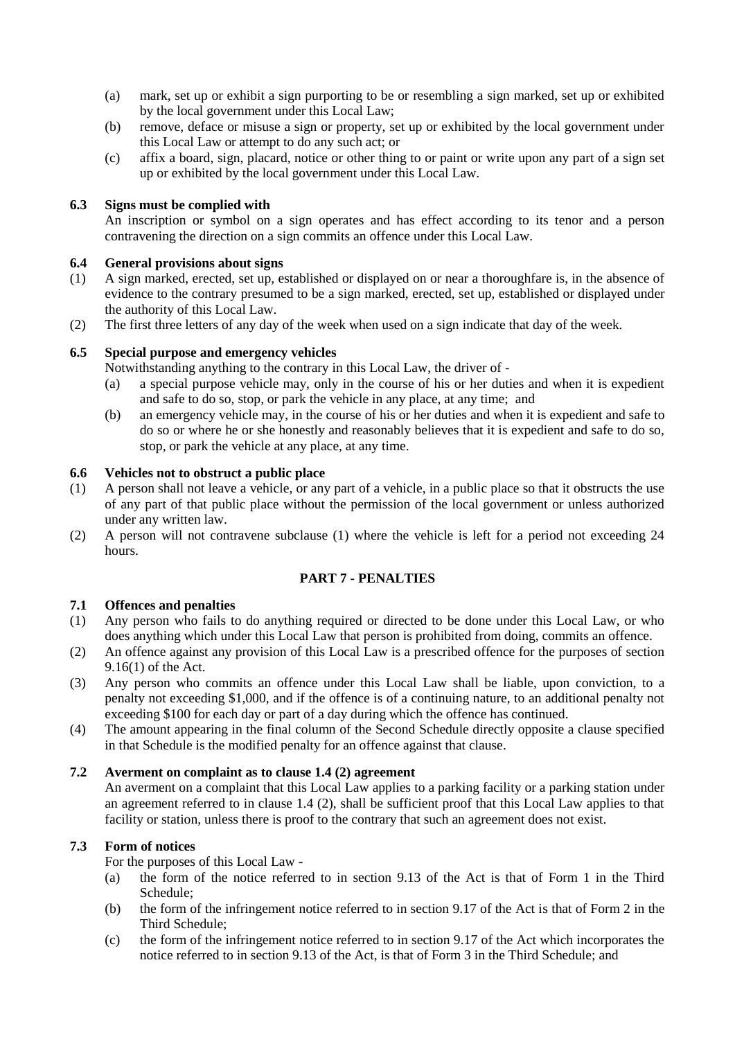- (a) mark, set up or exhibit a sign purporting to be or resembling a sign marked, set up or exhibited by the local government under this Local Law;
- (b) remove, deface or misuse a sign or property, set up or exhibited by the local government under this Local Law or attempt to do any such act; or
- (c) affix a board, sign, placard, notice or other thing to or paint or write upon any part of a sign set up or exhibited by the local government under this Local Law.

#### **6.3 Signs must be complied with**

An inscription or symbol on a sign operates and has effect according to its tenor and a person contravening the direction on a sign commits an offence under this Local Law.

#### **6.4 General provisions about signs**

- (1) A sign marked, erected, set up, established or displayed on or near a thoroughfare is, in the absence of evidence to the contrary presumed to be a sign marked, erected, set up, established or displayed under the authority of this Local Law.
- (2) The first three letters of any day of the week when used on a sign indicate that day of the week.

#### **6.5 Special purpose and emergency vehicles**

Notwithstanding anything to the contrary in this Local Law, the driver of -

- (a) a special purpose vehicle may, only in the course of his or her duties and when it is expedient and safe to do so, stop, or park the vehicle in any place, at any time; and
- (b) an emergency vehicle may, in the course of his or her duties and when it is expedient and safe to do so or where he or she honestly and reasonably believes that it is expedient and safe to do so, stop, or park the vehicle at any place, at any time.

#### **6.6 Vehicles not to obstruct a public place**

- (1) A person shall not leave a vehicle, or any part of a vehicle, in a public place so that it obstructs the use of any part of that public place without the permission of the local government or unless authorized under any written law.
- (2) A person will not contravene subclause (1) where the vehicle is left for a period not exceeding 24 hours.

#### **PART 7 - PENALTIES**

#### **7.1 Offences and penalties**

- (1) Any person who fails to do anything required or directed to be done under this Local Law, or who does anything which under this Local Law that person is prohibited from doing, commits an offence.
- (2) An offence against any provision of this Local Law is a prescribed offence for the purposes of section 9.16(1) of the Act.
- (3) Any person who commits an offence under this Local Law shall be liable, upon conviction, to a penalty not exceeding \$1,000, and if the offence is of a continuing nature, to an additional penalty not exceeding \$100 for each day or part of a day during which the offence has continued.
- (4) The amount appearing in the final column of the Second Schedule directly opposite a clause specified in that Schedule is the modified penalty for an offence against that clause.

#### **7.2 Averment on complaint as to clause 1.4 (2) agreement**

An averment on a complaint that this Local Law applies to a parking facility or a parking station under an agreement referred to in clause 1.4 (2), shall be sufficient proof that this Local Law applies to that facility or station, unless there is proof to the contrary that such an agreement does not exist.

#### **7.3 Form of notices**

For the purposes of this Local Law -

- (a) the form of the notice referred to in section 9.13 of the Act is that of Form 1 in the Third Schedule;
- (b) the form of the infringement notice referred to in section 9.17 of the Act is that of Form 2 in the Third Schedule;
- (c) the form of the infringement notice referred to in section 9.17 of the Act which incorporates the notice referred to in section 9.13 of the Act, is that of Form 3 in the Third Schedule; and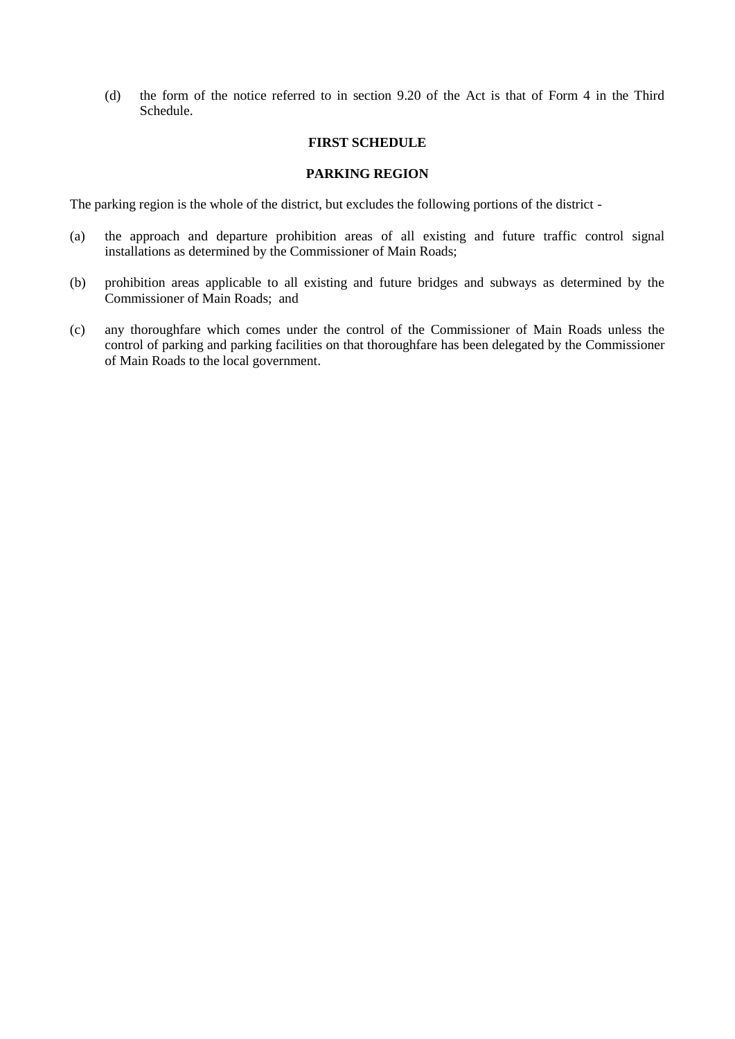(d) the form of the notice referred to in section 9.20 of the Act is that of Form 4 in the Third Schedule.

#### **FIRST SCHEDULE**

#### **PARKING REGION**

The parking region is the whole of the district, but excludes the following portions of the district -

- (a) the approach and departure prohibition areas of all existing and future traffic control signal installations as determined by the Commissioner of Main Roads;
- (b) prohibition areas applicable to all existing and future bridges and subways as determined by the Commissioner of Main Roads; and
- (c) any thoroughfare which comes under the control of the Commissioner of Main Roads unless the control of parking and parking facilities on that thoroughfare has been delegated by the Commissioner of Main Roads to the local government.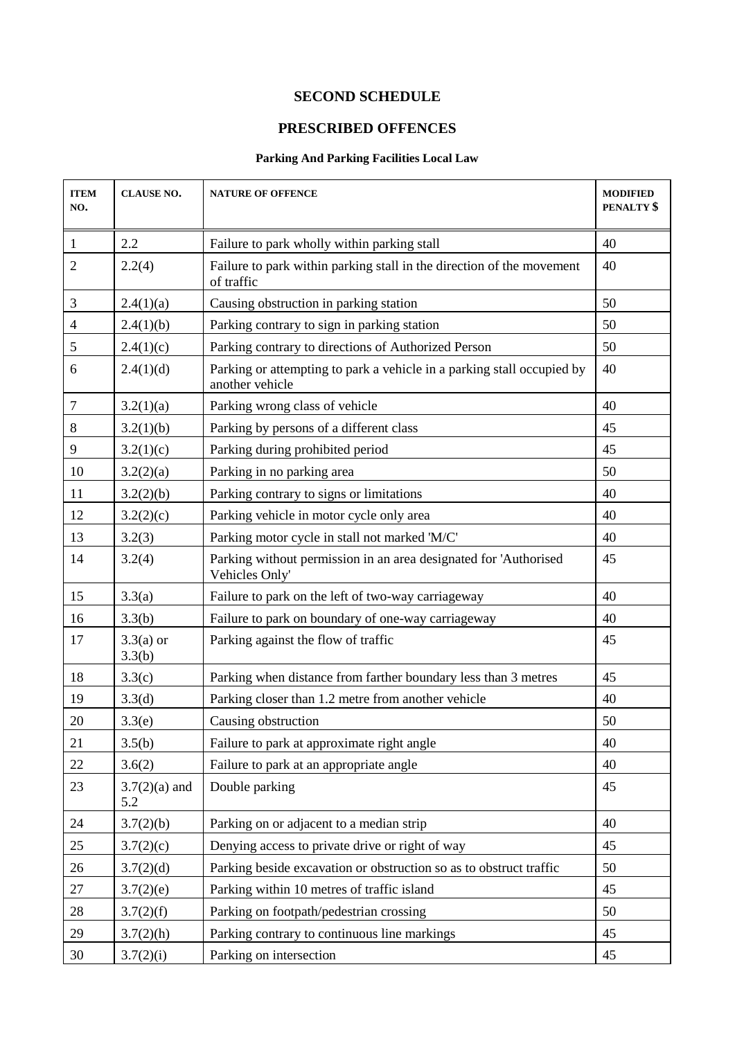# **SECOND SCHEDULE**

# **PRESCRIBED OFFENCES**

## **Parking And Parking Facilities Local Law**

| <b>ITEM</b><br>NO. | <b>CLAUSE NO.</b>      | <b>NATURE OF OFFENCE</b>                                                                  | <b>MODIFIED</b><br>PENALTY <sup>\$</sup> |
|--------------------|------------------------|-------------------------------------------------------------------------------------------|------------------------------------------|
| $\mathbf{1}$       | 2.2                    | Failure to park wholly within parking stall                                               | 40                                       |
| $\overline{2}$     | 2.2(4)                 | Failure to park within parking stall in the direction of the movement<br>of traffic       | 40                                       |
| 3                  | 2.4(1)(a)              | Causing obstruction in parking station                                                    | 50                                       |
| $\overline{4}$     | 2.4(1)(b)              | Parking contrary to sign in parking station                                               | 50                                       |
| 5                  | 2.4(1)(c)              | Parking contrary to directions of Authorized Person                                       | 50                                       |
| 6                  | 2.4(1)(d)              | Parking or attempting to park a vehicle in a parking stall occupied by<br>another vehicle | 40                                       |
| 7                  | 3.2(1)(a)              | Parking wrong class of vehicle                                                            | 40                                       |
| 8                  | 3.2(1)(b)              | Parking by persons of a different class                                                   | 45                                       |
| 9                  | 3.2(1)(c)              | Parking during prohibited period                                                          | 45                                       |
| 10                 | 3.2(2)(a)              | Parking in no parking area                                                                | 50                                       |
| 11                 | 3.2(2)(b)              | Parking contrary to signs or limitations                                                  | 40                                       |
| 12                 | 3.2(2)(c)              | Parking vehicle in motor cycle only area                                                  | 40                                       |
| 13                 | 3.2(3)                 | Parking motor cycle in stall not marked 'M/C'                                             | 40                                       |
| 14                 | 3.2(4)                 | Parking without permission in an area designated for 'Authorised<br>Vehicles Only'        | 45                                       |
| 15                 | 3.3(a)                 | Failure to park on the left of two-way carriageway                                        | 40                                       |
| 16                 | 3.3(b)                 | Failure to park on boundary of one-way carriageway                                        | 40                                       |
| 17                 | $3.3(a)$ or<br>3.3(b)  | Parking against the flow of traffic                                                       | 45                                       |
| 18                 | 3.3(c)                 | Parking when distance from farther boundary less than 3 metres                            | 45                                       |
| 19                 | 3.3(d)                 | Parking closer than 1.2 metre from another vehicle                                        | 40                                       |
| 20                 | 3.3(e)                 | Causing obstruction                                                                       | 50                                       |
| 21                 | 3.5(b)                 | Failure to park at approximate right angle                                                | 40                                       |
| 22                 | 3.6(2)                 | Failure to park at an appropriate angle                                                   | 40                                       |
| 23                 | $3.7(2)(a)$ and<br>5.2 | Double parking                                                                            | 45                                       |
| 24                 | 3.7(2)(b)              | Parking on or adjacent to a median strip                                                  | 40                                       |
| 25                 | 3.7(2)(c)              | Denying access to private drive or right of way                                           | 45                                       |
| 26                 | 3.7(2)(d)              | Parking beside excavation or obstruction so as to obstruct traffic                        | 50                                       |
| 27                 | 3.7(2)(e)              | Parking within 10 metres of traffic island                                                | 45                                       |
| 28                 | 3.7(2)(f)              | Parking on footpath/pedestrian crossing                                                   | 50                                       |
| 29                 | 3.7(2)(h)              | Parking contrary to continuous line markings                                              | 45                                       |
| 30                 | 3.7(2)(i)              | Parking on intersection                                                                   | 45                                       |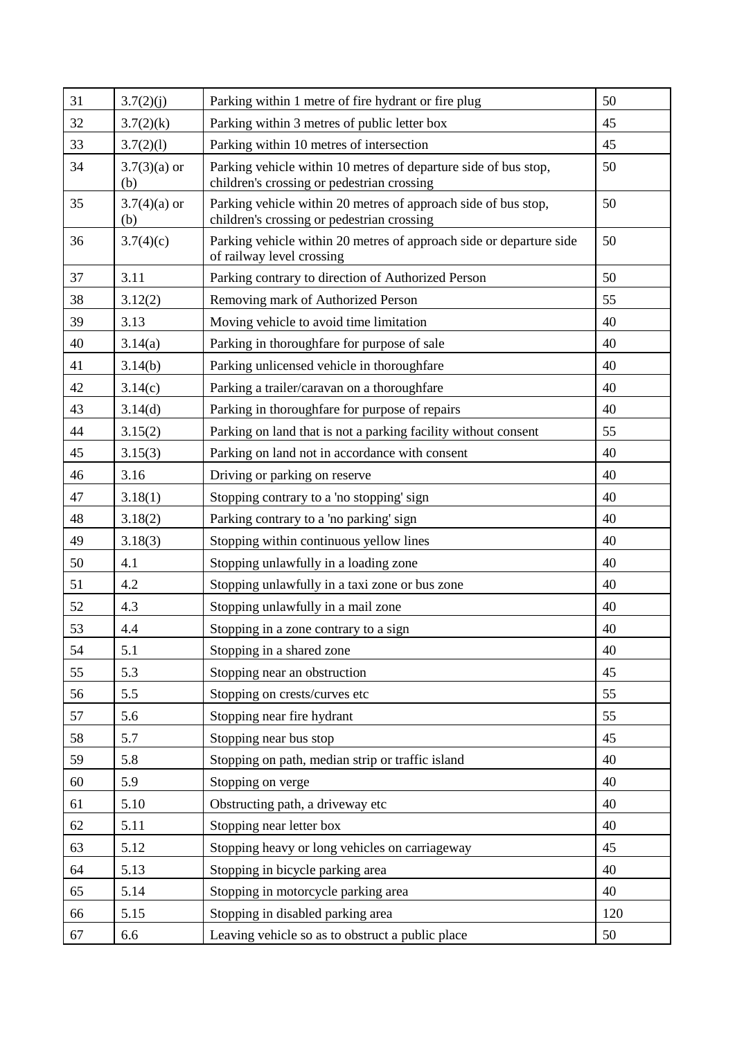| 31 | 3.7(2)(j)             | Parking within 1 metre of fire hydrant or fire plug                                                           | 50  |
|----|-----------------------|---------------------------------------------------------------------------------------------------------------|-----|
| 32 | 3.7(2)(k)             | Parking within 3 metres of public letter box                                                                  | 45  |
| 33 | 3.7(2)(1)             | Parking within 10 metres of intersection                                                                      | 45  |
| 34 | $3.7(3)(a)$ or<br>(b) | Parking vehicle within 10 metres of departure side of bus stop,<br>children's crossing or pedestrian crossing | 50  |
| 35 | $3.7(4)(a)$ or<br>(b) | Parking vehicle within 20 metres of approach side of bus stop,<br>children's crossing or pedestrian crossing  | 50  |
| 36 | 3.7(4)(c)             | Parking vehicle within 20 metres of approach side or departure side<br>of railway level crossing              | 50  |
| 37 | 3.11                  | Parking contrary to direction of Authorized Person                                                            | 50  |
| 38 | 3.12(2)               | Removing mark of Authorized Person                                                                            | 55  |
| 39 | 3.13                  | Moving vehicle to avoid time limitation                                                                       | 40  |
| 40 | 3.14(a)               | Parking in thoroughfare for purpose of sale                                                                   | 40  |
| 41 | 3.14(b)               | Parking unlicensed vehicle in thoroughfare                                                                    | 40  |
| 42 | 3.14(c)               | Parking a trailer/caravan on a thoroughfare                                                                   | 40  |
| 43 | 3.14(d)               | Parking in thoroughfare for purpose of repairs                                                                | 40  |
| 44 | 3.15(2)               | Parking on land that is not a parking facility without consent                                                | 55  |
| 45 | 3.15(3)               | Parking on land not in accordance with consent                                                                | 40  |
| 46 | 3.16                  | Driving or parking on reserve                                                                                 | 40  |
| 47 | 3.18(1)               | Stopping contrary to a 'no stopping' sign                                                                     | 40  |
| 48 | 3.18(2)               | Parking contrary to a 'no parking' sign                                                                       | 40  |
| 49 | 3.18(3)               | Stopping within continuous yellow lines                                                                       | 40  |
| 50 | 4.1                   | Stopping unlawfully in a loading zone                                                                         | 40  |
| 51 | 4.2                   | Stopping unlawfully in a taxi zone or bus zone                                                                | 40  |
| 52 | 4.3                   | Stopping unlawfully in a mail zone                                                                            | 40  |
| 53 | 4.4                   | Stopping in a zone contrary to a sign                                                                         | 40  |
| 54 | 5.1                   | Stopping in a shared zone                                                                                     | 40  |
| 55 | 5.3                   | Stopping near an obstruction                                                                                  | 45  |
| 56 | 5.5                   | Stopping on crests/curves etc                                                                                 | 55  |
| 57 | 5.6                   | Stopping near fire hydrant                                                                                    | 55  |
| 58 | 5.7                   | Stopping near bus stop                                                                                        | 45  |
| 59 | 5.8                   | Stopping on path, median strip or traffic island                                                              | 40  |
| 60 | 5.9                   | Stopping on verge                                                                                             | 40  |
| 61 | 5.10                  | Obstructing path, a driveway etc                                                                              | 40  |
| 62 | 5.11                  | Stopping near letter box                                                                                      | 40  |
| 63 | 5.12                  | Stopping heavy or long vehicles on carriageway                                                                | 45  |
| 64 | 5.13                  | Stopping in bicycle parking area                                                                              | 40  |
| 65 | 5.14                  | Stopping in motorcycle parking area                                                                           | 40  |
| 66 | 5.15                  | Stopping in disabled parking area                                                                             | 120 |
| 67 | 6.6                   | Leaving vehicle so as to obstruct a public place                                                              | 50  |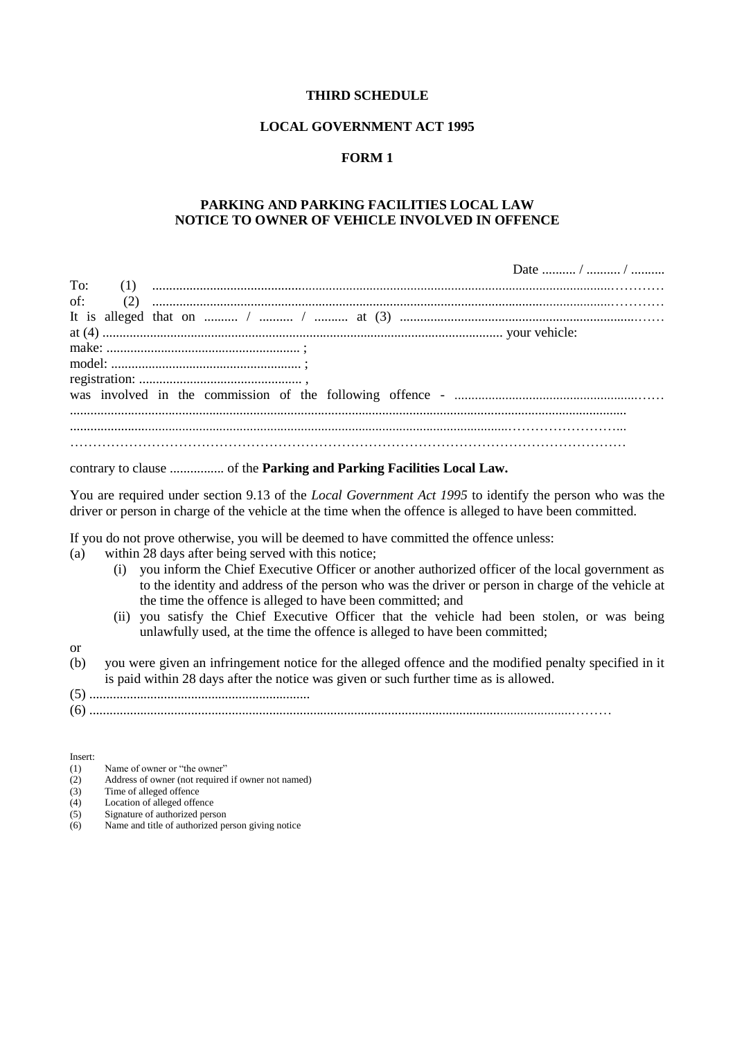#### **LOCAL GOVERNMENT ACT 1995**

#### **FORM 1**

#### **PARKING AND PARKING FACILITIES LOCAL LAW NOTICE TO OWNER OF VEHICLE INVOLVED IN OFFENCE**

|     | Date  /  / |
|-----|------------|
| To: |            |
|     |            |
|     |            |
|     |            |
|     |            |
|     |            |
|     |            |
|     |            |
|     |            |
|     |            |
|     |            |
|     |            |

#### contrary to clause ................ of the **Parking and Parking Facilities Local Law.**

You are required under section 9.13 of the *Local Government Act 1995* to identify the person who was the driver or person in charge of the vehicle at the time when the offence is alleged to have been committed.

If you do not prove otherwise, you will be deemed to have committed the offence unless:

- (a) within 28 days after being served with this notice;
	- (i) you inform the Chief Executive Officer or another authorized officer of the local government as to the identity and address of the person who was the driver or person in charge of the vehicle at the time the offence is alleged to have been committed; and
	- (ii) you satisfy the Chief Executive Officer that the vehicle had been stolen, or was being unlawfully used, at the time the offence is alleged to have been committed;
- or
- (b) you were given an infringement notice for the alleged offence and the modified penalty specified in it is paid within 28 days after the notice was given or such further time as is allowed.
- (5) .................................................................
- (6) ..............................................................................................................................................………

Insert:<br> $(1)$ 

- Name of owner or "the owner"
- (2) Address of owner (not required if owner not named)
- $(3)$  Time of alleged offence
- (4) Location of alleged offence
- (5) Signature of authorized person
- (6) Name and title of authorized person giving notice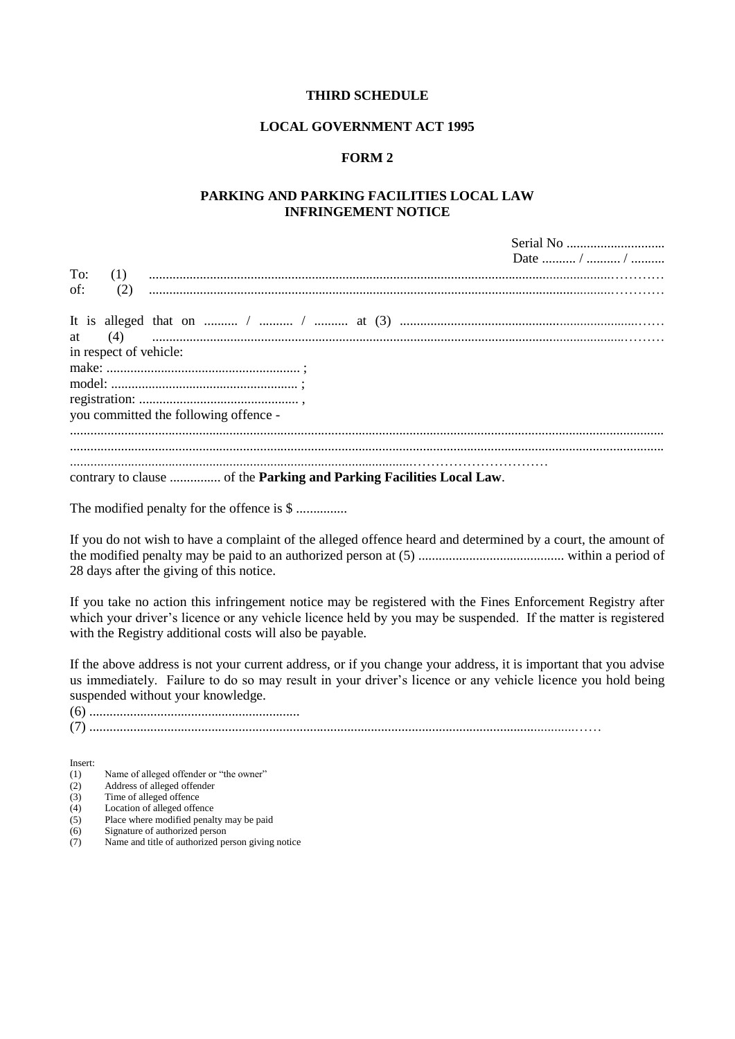#### **LOCAL GOVERNMENT ACT 1995**

#### **FORM 2**

#### **PARKING AND PARKING FACILITIES LOCAL LAW INFRINGEMENT NOTICE**

 $S<sub>criol</sub> N<sub>o</sub>$ 

|                        | $\mathcal{F}$ . The state of $\mathcal{F}$ |
|------------------------|--------------------------------------------|
|                        | Date  /  /                                 |
| To:                    |                                            |
| of:                    |                                            |
|                        |                                            |
|                        |                                            |
|                        |                                            |
| in respect of vehicle: |                                            |
|                        |                                            |
|                        |                                            |
|                        |                                            |
|                        | you committed the following offence -      |
|                        |                                            |
|                        |                                            |
|                        |                                            |
|                        |                                            |
|                        |                                            |

The modified penalty for the offence is \$ ...............

If you do not wish to have a complaint of the alleged offence heard and determined by a court, the amount of the modified penalty may be paid to an authorized person at (5) ........................................... within a period of 28 days after the giving of this notice.

If you take no action this infringement notice may be registered with the Fines Enforcement Registry after which your driver's licence or any vehicle licence held by you may be suspended. If the matter is registered with the Registry additional costs will also be payable.

If the above address is not your current address, or if you change your address, it is important that you advise us immediately. Failure to do so may result in your driver's licence or any vehicle licence you hold being suspended without your knowledge.

(6) .............................................................. (7) ...............................................................................................................................................……

Insert:<br> $(1)$ 

- Name of alleged offender or "the owner"
- (2) Address of alleged offender
- (3) Time of alleged offence<br>(4) Location of alleged offen Location of alleged offence
- (5) Place where modified penalty may be paid
- (6) Signature of authorized person<br>(7) Name and title of authorized per
- Name and title of authorized person giving notice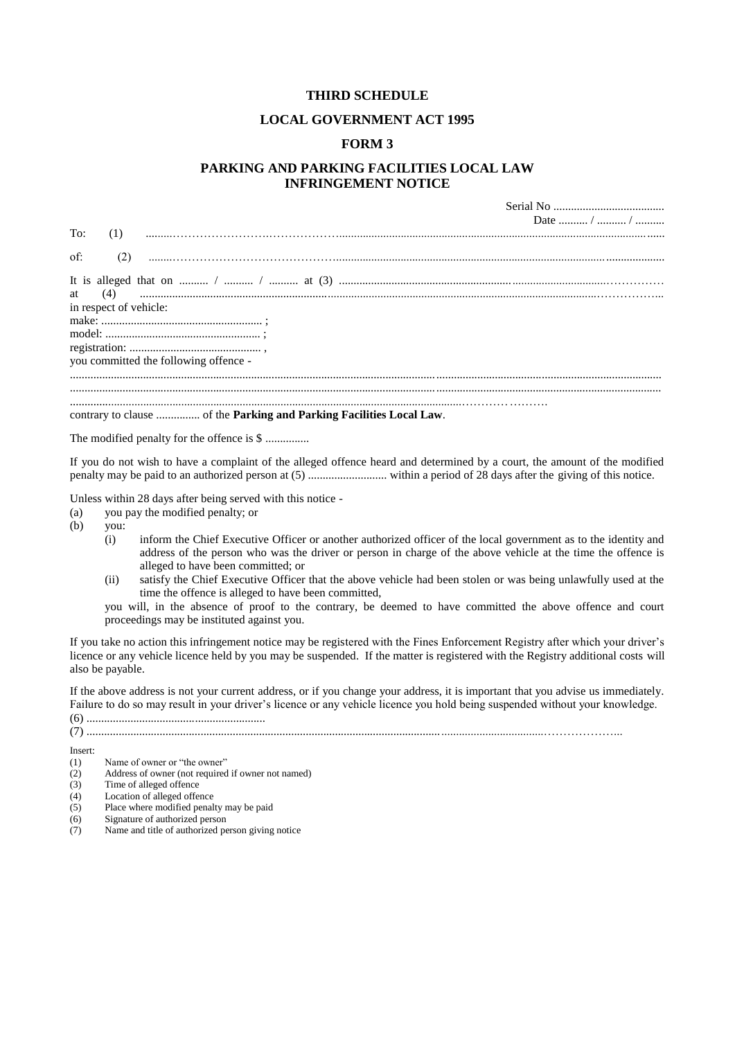#### **LOCAL GOVERNMENT ACT 1995**

#### **FORM 3**

## **PARKING AND PARKING FACILITIES LOCAL LAW INFRINGEMENT NOTICE**

|                                                                                                                                                                                                                          | Date  /  / |
|--------------------------------------------------------------------------------------------------------------------------------------------------------------------------------------------------------------------------|------------|
| To:<br>(1)                                                                                                                                                                                                               |            |
|                                                                                                                                                                                                                          |            |
| of:<br>(2)                                                                                                                                                                                                               |            |
| It is alleged that on $\ldots$ $\ldots$ $\ldots$ $\ldots$ $\ldots$ $\ldots$ at (3) $\ldots$ $\ldots$ $\ldots$ $\ldots$ $\ldots$ $\ldots$ $\ldots$ $\ldots$ $\ldots$ $\ldots$ $\ldots$ $\ldots$<br>in respect of vehicle: |            |
| you committed the following offence -                                                                                                                                                                                    |            |
|                                                                                                                                                                                                                          |            |
|                                                                                                                                                                                                                          |            |
|                                                                                                                                                                                                                          |            |

The modified penalty for the offence is \$ ...............

If you do not wish to have a complaint of the alleged offence heard and determined by a court, the amount of the modified penalty may be paid to an authorized person at (5) ........................... within a period of 28 days after the giving of this notice.

Unless within 28 days after being served with this notice -

- (a) you pay the modified penalty; or
- (b) you:
	- (i) inform the Chief Executive Officer or another authorized officer of the local government as to the identity and address of the person who was the driver or person in charge of the above vehicle at the time the offence is alleged to have been committed; or
	- (ii) satisfy the Chief Executive Officer that the above vehicle had been stolen or was being unlawfully used at the time the offence is alleged to have been committed,

you will, in the absence of proof to the contrary, be deemed to have committed the above offence and court proceedings may be instituted against you.

If you take no action this infringement notice may be registered with the Fines Enforcement Registry after which your driver's licence or any vehicle licence held by you may be suspended. If the matter is registered with the Registry additional costs will also be payable.

If the above address is not your current address, or if you change your address, it is important that you advise us immediately. Failure to do so may result in your driver's licence or any vehicle licence you hold being suspended without your knowledge.

- (2) Address of owner (not required if owner not named)
- (3) Time of alleged offence<br>(4) Location of alleged offer
- (4) Location of alleged offence<br>(5) Place where modified penal
- Place where modified penalty may be paid
- (6) Signature of authorized person
- (7) Name and title of authorized person giving notice

<sup>(6) .............................................................</sup> (7) ............................................................................................................................................................………………...

Insert:<br> $(1)$ 

Name of owner or "the owner"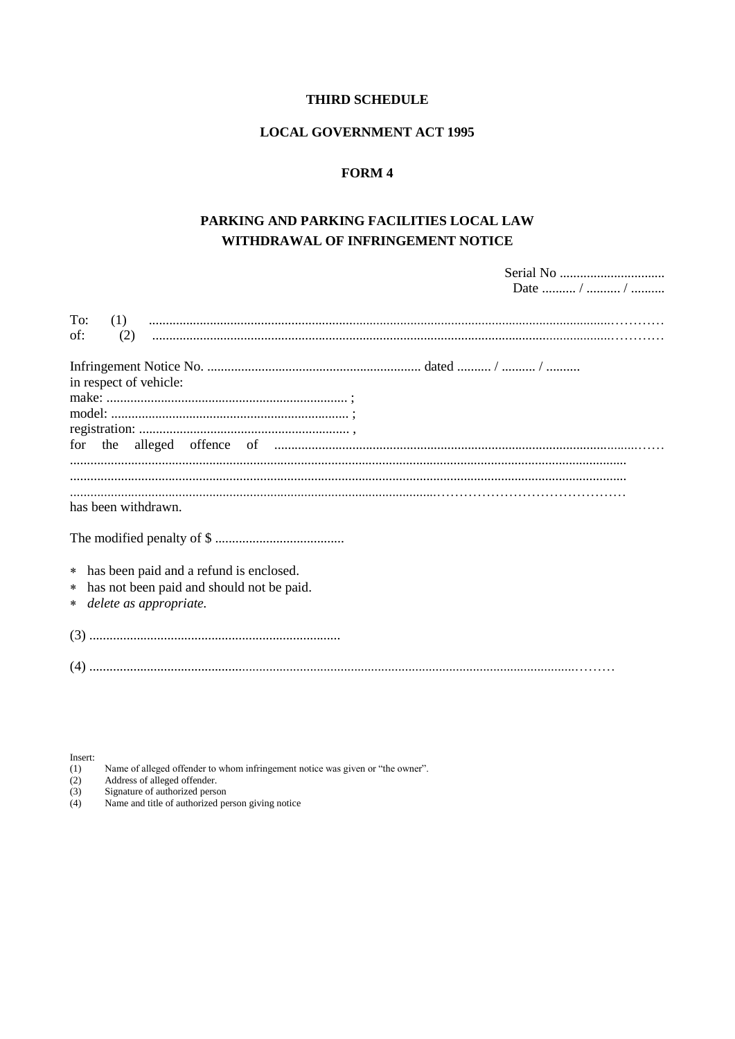#### **LOCAL GOVERNMENT ACT 1995**

# FORM 4

# PARKING AND PARKING FACILITIES LOCAL LAW WITHDRAWAL OF INFRINGEMENT NOTICE

|                                                                                 | Date  /  / |
|---------------------------------------------------------------------------------|------------|
| To:<br>(1)<br>of:<br>(2)                                                        |            |
| in respect of vehicle:                                                          |            |
|                                                                                 |            |
| for                                                                             |            |
|                                                                                 |            |
| has been withdrawn.                                                             |            |
|                                                                                 |            |
| * has been paid and a refund is enclosed.                                       |            |
| has not been paid and should not be paid.<br>$\ast$<br>* delete as appropriate. |            |
|                                                                                 |            |
|                                                                                 |            |
|                                                                                 |            |

Insert:

Name of alleged offender to whom infringement notice was given or "the owner".<br>Address of alleged offender.<br>Signature of authorized person<br>Name and title of authorized person giving notice

(1)<br>(2)<br>(3)<br>(4)